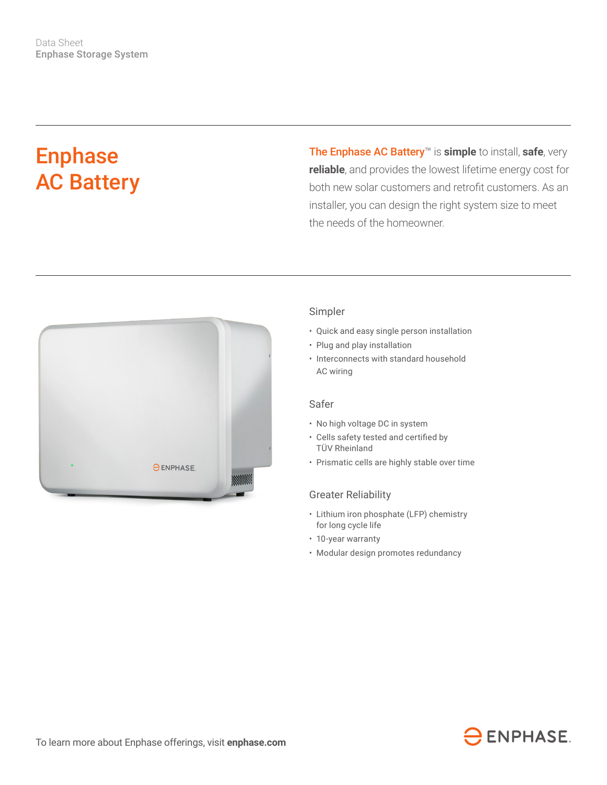# Enphase AC Battery

The Enphase AC Battery™ is **simple** to install, **safe**, very **reliable**, and provides the lowest lifetime energy cost for both new solar customers and retrofit customers. As an installer, you can design the right system size to meet the needs of the homeowner.



#### Simpler

- Quick and easy single person installation
- Plug and play installation
- Interconnects with standard household AC wiring

### Safer

- No high voltage DC in system
- • Cells safety tested and certified by TÜV Rheinland
- Prismatic cells are highly stable over time

#### Greater Reliability

- Lithium iron phosphate (LFP) chemistry for long cycle life
- 10-year warranty
- Modular design promotes redundancy